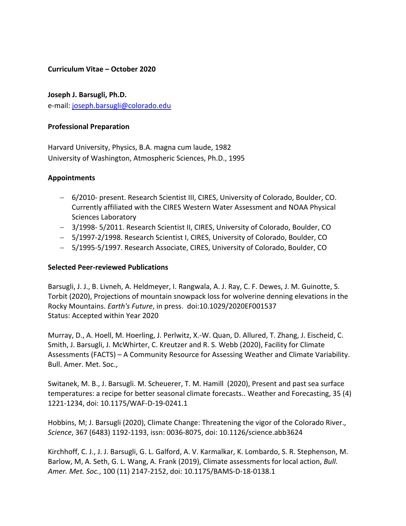# **Curriculum Vitae – October 2020**

**Joseph J. Barsugli, Ph.D.**  e-mail: joseph.barsugli@colorado.edu

# **Professional Preparation**

Harvard University, Physics, B.A. magna cum laude, 1982 University of Washington, Atmospheric Sciences, Ph.D., 1995

# **Appointments**

- 6/2010- present. Research Scientist III, CIRES, University of Colorado, Boulder, CO. Currently affiliated with the CIRES Western Water Assessment and NOAA Physical Sciences Laboratory
- 3/1998- 5/2011. Research Scientist II, CIRES, University of Colorado, Boulder, CO
- 5/1997-2/1998. Research Scientist I, CIRES, University of Colorado, Boulder, CO
- 5/1995-5/1997. Research Associate, CIRES, University of Colorado, Boulder, CO

### **Selected Peer-reviewed Publications**

Barsugli, J. J., B. Livneh, A. Heldmeyer, I. Rangwala, A. J. Ray, C. F. Dewes, J. M. Guinotte, S. Torbit (2020), Projections of mountain snowpack loss for wolverine denning elevations in the Rocky Mountains. *Earth's Future*, in press. doi:10.1029/2020EF001537 Status: Accepted within Year 2020

Murray, D., A. Hoell, M. Hoerling, J. Perlwitz, X.-W. Quan, D. Allured, T. Zhang, J. Eischeid, C. Smith, J. Barsugli, J. McWhirter, C. Kreutzer and R. S. Webb (2020), Facility for Climate Assessments (FACTS) – A Community Resource for Assessing Weather and Climate Variability. Bull. Amer. Met. Soc.,

Switanek, M. B., J. Barsugli. M. Scheuerer, T. M. Hamill (2020), Present and past sea surface temperatures: a recipe for better seasonal climate forecasts.. Weather and Forecasting, 35 (4) 1221-1234, doi: 10.1175/WAF-D-19-0241.1

Hobbins, M; J. Barsugli (2020), Climate Change: Threatening the vigor of the Colorado River., *Science*, 367 (6483) 1192-1193, issn: 0036-8075, doi: 10.1126/science.abb3624

Kirchhoff, C. J., J. J. Barsugli, G. L. Galford, A. V. Karmalkar, K. Lombardo, S. R. Stephenson, M. Barlow, M, A. Seth, G. L. Wang, A. Frank (2019), Climate assessments for local action, *Bull. Amer. Met. Soc.*, 100 (11) 2147-2152, doi: 10.1175/BAMS-D-18-0138.1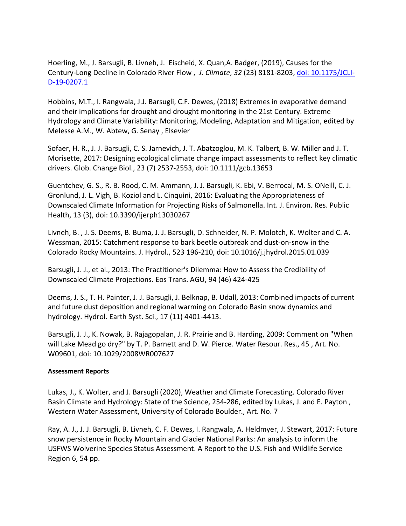Hoerling, M., J. Barsugli, B. Livneh, J. Eischeid, X. Quan,A. Badger, (2019), Causes for the Century-Long Decline in Colorado River Flow , *J. Climate*, *32* (23) 8181-8203, doi: 10.1175/JCLI-D-19-0207.1

Hobbins, M.T., I. Rangwala, J.J. Barsugli, C.F. Dewes, (2018) Extremes in evaporative demand and their implications for drought and drought monitoring in the 21st Century. Extreme Hydrology and Climate Variability: Monitoring, Modeling, Adaptation and Mitigation, edited by Melesse A.M., W. Abtew, G. Senay , Elsevier

Sofaer, H. R., J. J. Barsugli, C. S. Jarnevich, J. T. Abatzoglou, M. K. Talbert, B. W. Miller and J. T. Morisette, 2017: Designing ecological climate change impact assessments to reflect key climatic drivers. Glob. Change Biol., 23 (7) 2537-2553, doi: 10.1111/gcb.13653

Guentchev, G. S., R. B. Rood, C. M. Ammann, J. J. Barsugli, K. Ebi, V. Berrocal, M. S. ONeill, C. J. Gronlund, J. L. Vigh, B. Koziol and L. Cinquini, 2016: Evaluating the Appropriateness of Downscaled Climate Information for Projecting Risks of Salmonella. Int. J. Environ. Res. Public Health, 13 (3), doi: 10.3390/ijerph13030267

Livneh, B. , J. S. Deems, B. Buma, J. J. Barsugli, D. Schneider, N. P. Molotch, K. Wolter and C. A. Wessman, 2015: Catchment response to bark beetle outbreak and dust-on-snow in the Colorado Rocky Mountains. J. Hydrol., 523 196-210, doi: 10.1016/j.jhydrol.2015.01.039

Barsugli, J. J., et al., 2013: The Practitioner's Dilemma: How to Assess the Credibility of Downscaled Climate Projections. Eos Trans. AGU, 94 (46) 424-425

Deems, J. S., T. H. Painter, J. J. Barsugli, J. Belknap, B. Udall, 2013: Combined impacts of current and future dust deposition and regional warming on Colorado Basin snow dynamics and hydrology. Hydrol. Earth Syst. Sci., 17 (11) 4401-4413.

Barsugli, J. J., K. Nowak, B. Rajagopalan, J. R. Prairie and B. Harding, 2009: Comment on "When will Lake Mead go dry?" by T. P. Barnett and D. W. Pierce. Water Resour. Res., 45 , Art. No. W09601, doi: 10.1029/2008WR007627

# **Assessment Reports**

Lukas, J., K. Wolter, and J. Barsugli (2020), Weather and Climate Forecasting. Colorado River Basin Climate and Hydrology: State of the Science, 254-286, edited by Lukas, J. and E. Payton , Western Water Assessment, University of Colorado Boulder., Art. No. 7

Ray, A. J., J. J. Barsugli, B. Livneh, C. F. Dewes, I. Rangwala, A. Heldmyer, J. Stewart, 2017: Future snow persistence in Rocky Mountain and Glacier National Parks: An analysis to inform the USFWS Wolverine Species Status Assessment. A Report to the U.S. Fish and Wildlife Service Region 6, 54 pp.